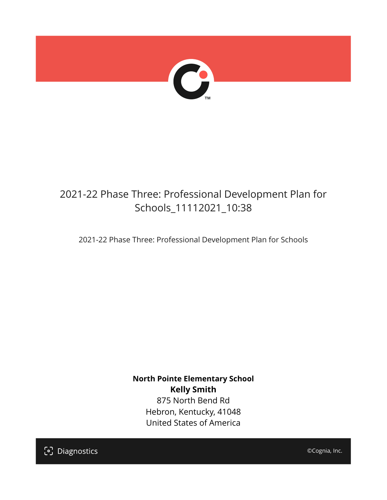

## 2021-22 Phase Three: Professional Development Plan for Schools\_11112021\_10:38

2021-22 Phase Three: Professional Development Plan for Schools

**North Pointe Elementary School Kelly Smith** 875 North Bend Rd Hebron, Kentucky, 41048 United States of America

[၁] Diagnostics

©Cognia, Inc.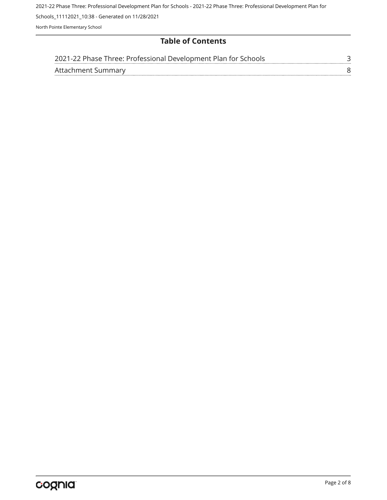2021-22 Phase Three: Professional Development Plan for Schools - 2021-22 Phase Three: Professional Development Plan for

Schools\_11112021\_10:38 - Generated on 11/28/2021

North Pointe Elementary School

## **Table of Contents**

| 2021-22 Phase Three: Professional Development Plan for Schools |  |
|----------------------------------------------------------------|--|
| Attachment Summary                                             |  |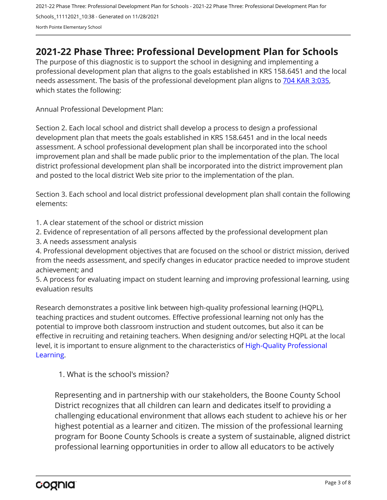2021-22 Phase Three: Professional Development Plan for Schools - 2021-22 Phase Three: Professional Development Plan for Schools\_11112021\_10:38 - Generated on 11/28/2021 North Pointe Elementary School

## <span id="page-2-0"></span>**2021-22 Phase Three: Professional Development Plan for Schools**

The purpose of this diagnostic is to support the school in designing and implementing a professional development plan that aligns to the goals established in KRS 158.6451 and the local needs assessment. The basis of the professional development plan aligns to [704 KAR 3:035,](https://apps.legislature.ky.gov/Law/kar/704/003/035.pdf) which states the following:

Annual Professional Development Plan:

Section 2. Each local school and district shall develop a process to design a professional development plan that meets the goals established in KRS 158.6451 and in the local needs assessment. A school professional development plan shall be incorporated into the school improvement plan and shall be made public prior to the implementation of the plan. The local district professional development plan shall be incorporated into the district improvement plan and posted to the local district Web site prior to the implementation of the plan.

Section 3. Each school and local district professional development plan shall contain the following elements:

1. A clear statement of the school or district mission

2. Evidence of representation of all persons affected by the professional development plan

3. A needs assessment analysis

4. Professional development objectives that are focused on the school or district mission, derived from the needs assessment, and specify changes in educator practice needed to improve student achievement; and

5. A process for evaluating impact on student learning and improving professional learning, using evaluation results

Research demonstrates a positive link between high-quality professional learning (HQPL), teaching practices and student outcomes. Effective professional learning not only has the potential to improve both classroom instruction and student outcomes, but also it can be effective in recruiting and retaining teachers. When designing and/or selecting HQPL at the local level, it is important to ensure alignment to the characteristics of [High-Quality Professional](https://protect-us.mimecast.com/s/t_VKCmZ28lUj9ElyiG-gxw?domain=education.ky.gov)  [Learning](https://protect-us.mimecast.com/s/t_VKCmZ28lUj9ElyiG-gxw?domain=education.ky.gov).

1. What is the school's mission?

Representing and in partnership with our stakeholders, the Boone County School District recognizes that all children can learn and dedicates itself to providing a challenging educational environment that allows each student to achieve his or her highest potential as a learner and citizen. The mission of the professional learning program for Boone County Schools is create a system of sustainable, aligned district professional learning opportunities in order to allow all educators to be actively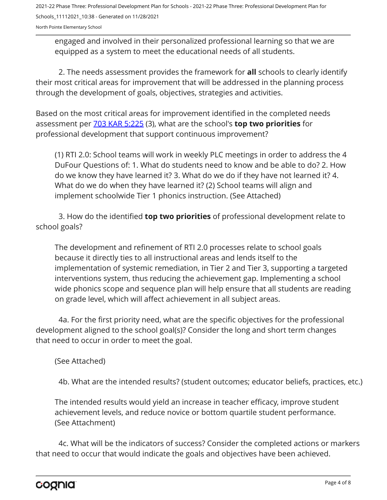2021-22 Phase Three: Professional Development Plan for Schools - 2021-22 Phase Three: Professional Development Plan for Schools\_11112021\_10:38 - Generated on 11/28/2021

North Pointe Elementary School

engaged and involved in their personalized professional learning so that we are equipped as a system to meet the educational needs of all students.

2. The needs assessment provides the framework for **all** schools to clearly identify their most critical areas for improvement that will be addressed in the planning process through the development of goals, objectives, strategies and activities.

Based on the most critical areas for improvement identified in the completed needs assessment per [703 KAR 5:225](https://apps.legislature.ky.gov/law/kar/703/005/225.pdf) (3), what are the school's **top two priorities** for professional development that support continuous improvement?

(1) RTI 2.0: School teams will work in weekly PLC meetings in order to address the 4 DuFour Questions of: 1. What do students need to know and be able to do? 2. How do we know they have learned it? 3. What do we do if they have not learned it? 4. What do we do when they have learned it? (2) School teams will align and implement schoolwide Tier 1 phonics instruction. (See Attached)

3. How do the identified **top two priorities** of professional development relate to school goals?

The development and refinement of RTI 2.0 processes relate to school goals because it directly ties to all instructional areas and lends itself to the implementation of systemic remediation, in Tier 2 and Tier 3, supporting a targeted interventions system, thus reducing the achievement gap. Implementing a school wide phonics scope and sequence plan will help ensure that all students are reading on grade level, which will affect achievement in all subject areas.

4a. For the first priority need, what are the specific objectives for the professional development aligned to the school goal(s)? Consider the long and short term changes that need to occur in order to meet the goal.

(See Attached)

4b. What are the intended results? (student outcomes; educator beliefs, practices, etc.)

The intended results would yield an increase in teacher efficacy, improve student achievement levels, and reduce novice or bottom quartile student performance. (See Attachment)

4c. What will be the indicators of success? Consider the completed actions or markers that need to occur that would indicate the goals and objectives have been achieved.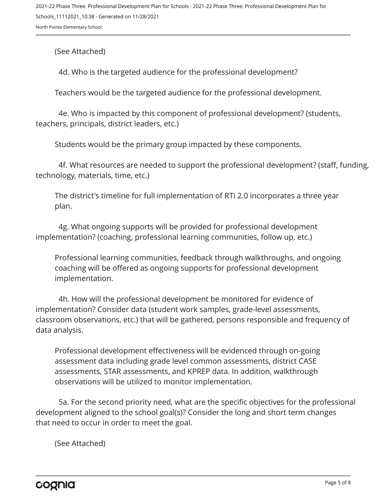(See Attached)

4d. Who is the targeted audience for the professional development?

Teachers would be the targeted audience for the professional development.

4e. Who is impacted by this component of professional development? (students, teachers, principals, district leaders, etc.)

Students would be the primary group impacted by these components.

4f. What resources are needed to support the professional development? (staff, funding, technology, materials, time, etc.)

The district's timeline for full implementation of RTI 2.0 incorporates a three year plan.

4g. What ongoing supports will be provided for professional development implementation? (coaching, professional learning communities, follow up, etc.)

Professional learning communities, feedback through walkthroughs, and ongoing coaching will be offered as ongoing supports for professional development implementation.

4h. How will the professional development be monitored for evidence of implementation? Consider data (student work samples, grade-level assessments, classroom observations, etc.) that will be gathered, persons responsible and frequency of data analysis.

Professional development effectiveness will be evidenced through on-going assessment data including grade level common assessments, district CASE assessments, STAR assessments, and KPREP data. In addition, walkthrough observations will be utilized to monitor implementation.

5a. For the second priority need, what are the specific objectives for the professional development aligned to the school goal(s)? Consider the long and short term changes that need to occur in order to meet the goal.

(See Attached)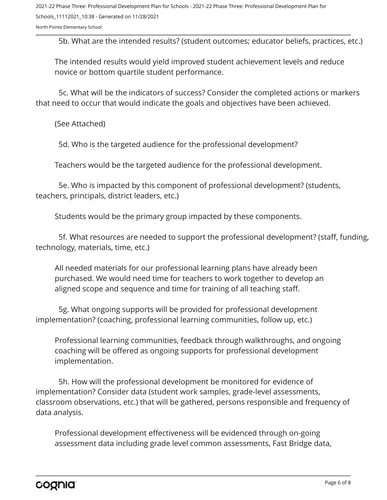2021-22 Phase Three: Professional Development Plan for Schools - 2021-22 Phase Three: Professional Development Plan for Schools\_11112021\_10:38 - Generated on 11/28/2021

North Pointe Elementary School

5b. What are the intended results? (student outcomes; educator beliefs, practices, etc.)

The intended results would yield improved student achievement levels and reduce novice or bottom quartile student performance.

5c. What will be the indicators of success? Consider the completed actions or markers that need to occur that would indicate the goals and objectives have been achieved.

(See Attached)

5d. Who is the targeted audience for the professional development?

Teachers would be the targeted audience for the professional development.

5e. Who is impacted by this component of professional development? (students, teachers, principals, district leaders, etc.)

Students would be the primary group impacted by these components.

5f. What resources are needed to support the professional development? (staff, funding, technology, materials, time, etc.)

All needed materials for our professional learning plans have already been purchased. We would need time for teachers to work together to develop an aligned scope and sequence and time for training of all teaching staff.

5g. What ongoing supports will be provided for professional development implementation? (coaching, professional learning communities, follow up, etc.)

Professional learning communities, feedback through walkthroughs, and ongoing coaching will be offered as ongoing supports for professional development implementation.

5h. How will the professional development be monitored for evidence of implementation? Consider data (student work samples, grade-level assessments, classroom observations, etc.) that will be gathered, persons responsible and frequency of data analysis.

Professional development effectiveness will be evidenced through on-going assessment data including grade level common assessments, Fast Bridge data,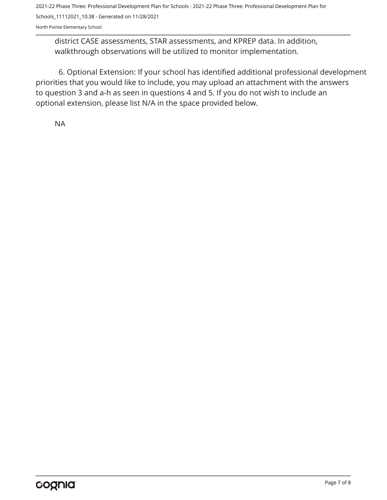2021-22 Phase Three: Professional Development Plan for Schools - 2021-22 Phase Three: Professional Development Plan for Schools\_11112021\_10:38 - Generated on 11/28/2021

North Pointe Elementary School

district CASE assessments, STAR assessments, and KPREP data. In addition, walkthrough observations will be utilized to monitor implementation.

6. Optional Extension: If your school has identified additional professional development priorities that you would like to include, you may upload an attachment with the answers to question 3 and a-h as seen in questions 4 and 5. If you do not wish to include an optional extension, please list N/A in the space provided below.

NA